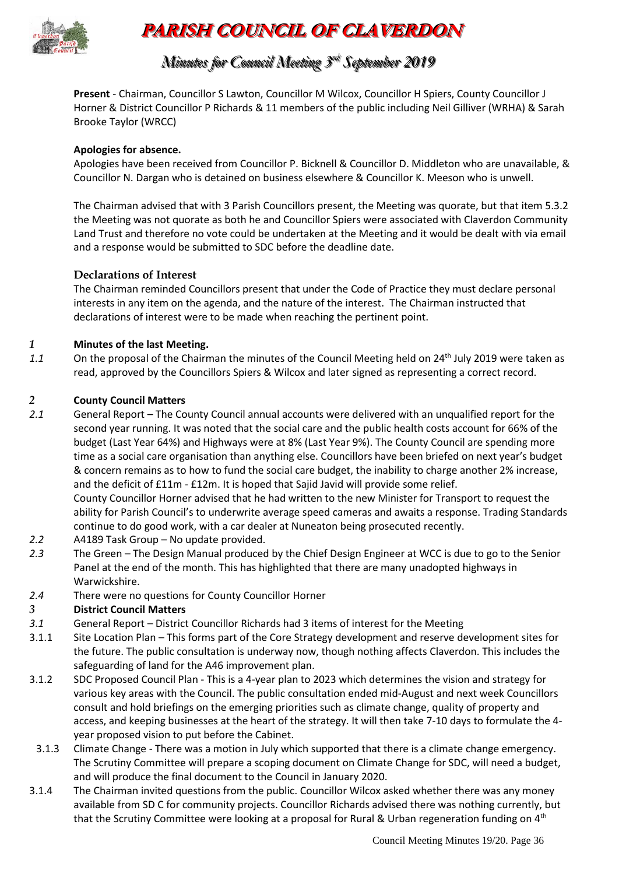

# **PARISH COUNCIL OF CLAVERDON**

## *Minutes for Council Meeting 3 r rdd September 2019*

**Present** - Chairman, Councillor S Lawton, Councillor M Wilcox, Councillor H Spiers, County Councillor J Horner & District Councillor P Richards & 11 members of the public including Neil Gilliver (WRHA) & Sarah Brooke Taylor (WRCC)

### **Apologies for absence.**

Apologies have been received from Councillor P. Bicknell & Councillor D. Middleton who are unavailable, & Councillor N. Dargan who is detained on business elsewhere & Councillor K. Meeson who is unwell.

The Chairman advised that with 3 Parish Councillors present, the Meeting was quorate, but that item 5.3.2 the Meeting was not quorate as both he and Councillor Spiers were associated with Claverdon Community Land Trust and therefore no vote could be undertaken at the Meeting and it would be dealt with via email and a response would be submitted to SDC before the deadline date.

### **Declarations of Interest**

The Chairman reminded Councillors present that under the Code of Practice they must declare personal interests in any item on the agenda, and the nature of the interest. The Chairman instructed that declarations of interest were to be made when reaching the pertinent point.

### *1* **Minutes of the last Meeting.**

*1.1* On the proposal of the Chairman the minutes of the Council Meeting held on 24th July 2019 were taken as read, approved by the Councillors Spiers & Wilcox and later signed as representing a correct record.

### *2* **County Council Matters**

*2.1* General Report – The County Council annual accounts were delivered with an unqualified report for the second year running. It was noted that the social care and the public health costs account for 66% of the budget (Last Year 64%) and Highways were at 8% (Last Year 9%). The County Council are spending more time as a social care organisation than anything else. Councillors have been briefed on next year's budget & concern remains as to how to fund the social care budget, the inability to charge another 2% increase, and the deficit of £11m - £12m. It is hoped that Sajid Javid will provide some relief.

County Councillor Horner advised that he had written to the new Minister for Transport to request the ability for Parish Council's to underwrite average speed cameras and awaits a response. Trading Standards continue to do good work, with a car dealer at Nuneaton being prosecuted recently.

- *2.2* A4189 Task Group No update provided.
- *2.3* The Green The Design Manual produced by the Chief Design Engineer at WCC is due to go to the Senior Panel at the end of the month. This has highlighted that there are many unadopted highways in Warwickshire.
- *2.4* There were no questions for County Councillor Horner

### *3* **District Council Matters**

- *3.1* General Report District Councillor Richards had 3 items of interest for the Meeting
- 3.1.1 Site Location Plan This forms part of the Core Strategy development and reserve development sites for the future. The public consultation is underway now, though nothing affects Claverdon. This includes the safeguarding of land for the A46 improvement plan.
- 3.1.2 SDC Proposed Council Plan This is a 4-year plan to 2023 which determines the vision and strategy for various key areas with the Council. The public consultation ended mid-August and next week Councillors consult and hold briefings on the emerging priorities such as climate change, quality of property and access, and keeping businesses at the heart of the strategy. It will then take 7-10 days to formulate the 4 year proposed vision to put before the Cabinet.
- 3.1.3 Climate Change There was a motion in July which supported that there is a climate change emergency. The Scrutiny Committee will prepare a scoping document on Climate Change for SDC, will need a budget, and will produce the final document to the Council in January 2020.
- 3.1.4 The Chairman invited questions from the public. Councillor Wilcox asked whether there was any money available from SD C for community projects. Councillor Richards advised there was nothing currently, but that the Scrutiny Committee were looking at a proposal for Rural & Urban regeneration funding on 4<sup>th</sup>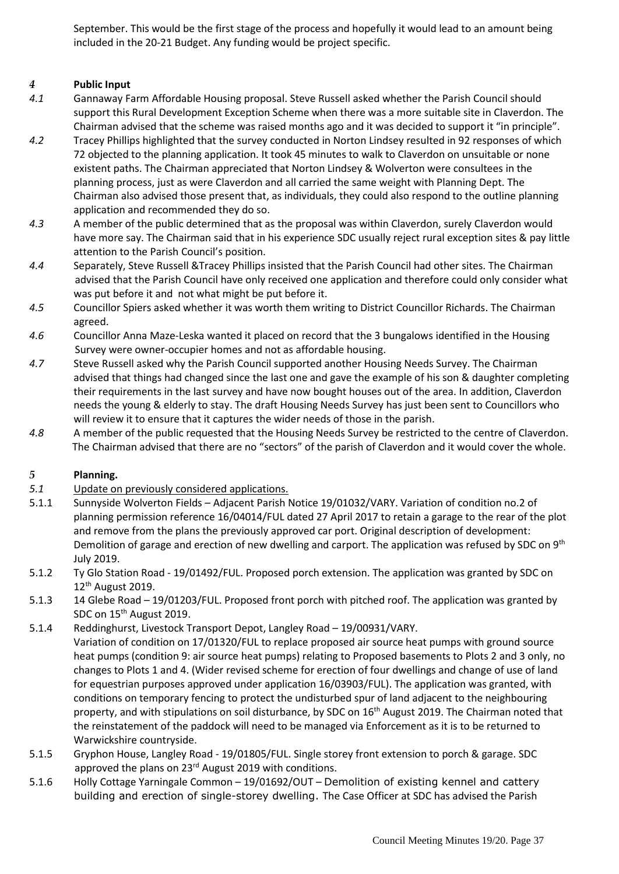September. This would be the first stage of the process and hopefully it would lead to an amount being included in the 20-21 Budget. Any funding would be project specific.

### *4* **Public Input**

- *4.1* Gannaway Farm Affordable Housing proposal. Steve Russell asked whether the Parish Council should support this Rural Development Exception Scheme when there was a more suitable site in Claverdon. The Chairman advised that the scheme was raised months ago and it was decided to support it "in principle".
- *4.2* Tracey Phillips highlighted that the survey conducted in Norton Lindsey resulted in 92 responses of which 72 objected to the planning application. It took 45 minutes to walk to Claverdon on unsuitable or none existent paths. The Chairman appreciated that Norton Lindsey & Wolverton were consultees in the planning process, just as were Claverdon and all carried the same weight with Planning Dept. The Chairman also advised those present that, as individuals, they could also respond to the outline planning application and recommended they do so.
- *4.3* A member of the public determined that as the proposal was within Claverdon, surely Claverdon would have more say. The Chairman said that in his experience SDC usually reject rural exception sites & pay little attention to the Parish Council's position.
- *4.4* Separately, Steve Russell &Tracey Phillips insisted that the Parish Council had other sites. The Chairman advised that the Parish Council have only received one application and therefore could only consider what was put before it and not what might be put before it.
- *4.5* Councillor Spiers asked whether it was worth them writing to District Councillor Richards. The Chairman agreed.
- *4.6* Councillor Anna Maze-Leska wanted it placed on record that the 3 bungalows identified in the Housing Survey were owner-occupier homes and not as affordable housing.
- *4.7* Steve Russell asked why the Parish Council supported another Housing Needs Survey. The Chairman advised that things had changed since the last one and gave the example of his son & daughter completing their requirements in the last survey and have now bought houses out of the area. In addition, Claverdon needs the young & elderly to stay. The draft Housing Needs Survey has just been sent to Councillors who will review it to ensure that it captures the wider needs of those in the parish.
- *4.8* A member of the public requested that the Housing Needs Survey be restricted to the centre of Claverdon. The Chairman advised that there are no "sectors" of the parish of Claverdon and it would cover the whole.

### *5* **Planning.**

- *5.1* Update on previously considered applications.
- 5.1.1 Sunnyside Wolverton Fields Adjacent Parish Notice 19/01032/VARY. Variation of condition no.2 of planning permission reference 16/04014/FUL dated 27 April 2017 to retain a garage to the rear of the plot and remove from the plans the previously approved car port. Original description of development: Demolition of garage and erection of new dwelling and carport. The application was refused by SDC on 9<sup>th</sup> July 2019.
- 5.1.2 Ty Glo Station Road 19/01492/FUL. Proposed porch extension. The application was granted by SDC on 12th August 2019.
- 5.1.3 14 Glebe Road 19/01203/FUL. Proposed front porch with pitched roof. The application was granted by SDC on 15<sup>th</sup> August 2019.
- 5.1.4 Reddinghurst, Livestock Transport Depot, Langley Road 19/00931/VARY. Variation of condition on 17/01320/FUL to replace proposed air source heat pumps with ground source heat pumps (condition 9: air source heat pumps) relating to Proposed basements to Plots 2 and 3 only, no changes to Plots 1 and 4. (Wider revised scheme for erection of four dwellings and change of use of land for equestrian purposes approved under application 16/03903/FUL). The application was granted, with conditions on temporary fencing to protect the undisturbed spur of land adjacent to the neighbouring property, and with stipulations on soil disturbance, by SDC on 16<sup>th</sup> August 2019. The Chairman noted that the reinstatement of the paddock will need to be managed via Enforcement as it is to be returned to Warwickshire countryside.
- 5.1.5 Gryphon House, Langley Road 19/01805/FUL. Single storey front extension to porch & garage. SDC approved the plans on 23<sup>rd</sup> August 2019 with conditions.
- 5.1.6 Holly Cottage Yarningale Common 19/01692/OUT Demolition of existing kennel and cattery building and erection of single-storey dwelling. The Case Officer at SDC has advised the Parish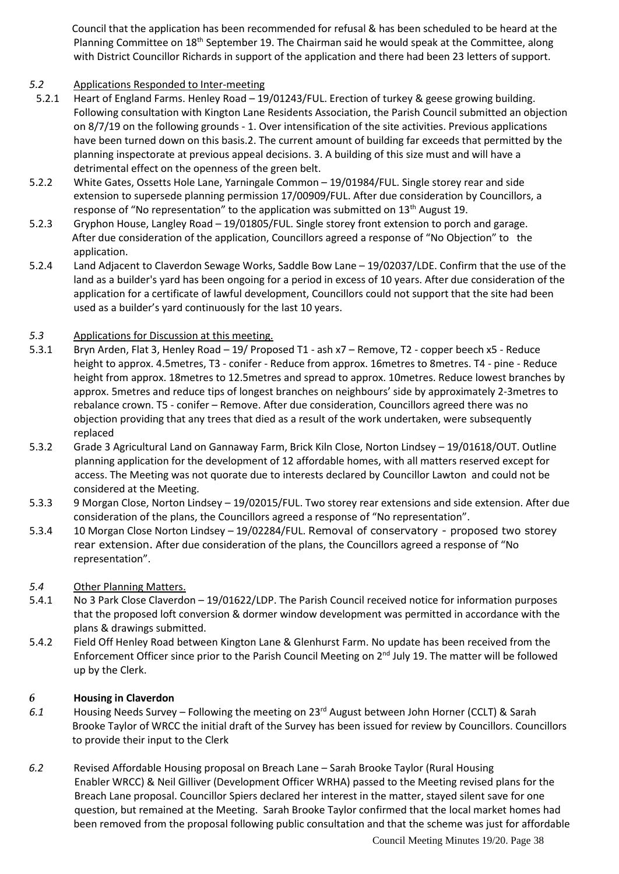Council that the application has been recommended for refusal & has been scheduled to be heard at the Planning Committee on 18th September 19. The Chairman said he would speak at the Committee, along with District Councillor Richards in support of the application and there had been 23 letters of support.

### *5.2* Applications Responded to Inter-meeting

- 5.2.1 Heart of England Farms. Henley Road 19/01243/FUL. Erection of turkey & geese growing building. Following consultation with Kington Lane Residents Association, the Parish Council submitted an objection on 8/7/19 on the following grounds - 1. Over intensification of the site activities. Previous applications have been turned down on this basis.2. The current amount of building far exceeds that permitted by the planning inspectorate at previous appeal decisions. 3. A building of this size must and will have a detrimental effect on the openness of the green belt.
- 5.2.2 White Gates, Ossetts Hole Lane, Yarningale Common 19/01984/FUL. Single storey rear and side extension to supersede planning permission 17/00909/FUL. After due consideration by Councillors, a response of "No representation" to the application was submitted on 13<sup>th</sup> August 19.
- 5.2.3 Gryphon House, Langley Road 19/01805/FUL. Single storey front extension to porch and garage. After due consideration of the application, Councillors agreed a response of "No Objection" to the application.
- 5.2.4 Land Adjacent to Claverdon Sewage Works, Saddle Bow Lane 19/02037/LDE. Confirm that the use of the land as a builder's yard has been ongoing for a period in excess of 10 years. After due consideration of the application for a certificate of lawful development, Councillors could not support that the site had been used as a builder's yard continuously for the last 10 years.

### *5.3* Applications for Discussion at this meeting.

- 5.3.1 Bryn Arden, Flat 3, Henley Road 19/ Proposed T1 ash x7 Remove, T2 copper beech x5 Reduce height to approx. 4.5metres, T3 - conifer - Reduce from approx. 16metres to 8metres. T4 - pine - Reduce height from approx. 18metres to 12.5metres and spread to approx. 10metres. Reduce lowest branches by approx. 5metres and reduce tips of longest branches on neighbours' side by approximately 2-3metres to rebalance crown. T5 - conifer – Remove. After due consideration, Councillors agreed there was no objection providing that any trees that died as a result of the work undertaken, were subsequently replaced
- 5.3.2 Grade 3 Agricultural Land on Gannaway Farm, Brick Kiln Close, Norton Lindsey 19/01618/OUT. Outline planning application for the development of 12 affordable homes, with all matters reserved except for access. The Meeting was not quorate due to interests declared by Councillor Lawton and could not be considered at the Meeting.
- 5.3.3 9 Morgan Close, Norton Lindsey 19/02015/FUL. Two storey rear extensions and side extension. After due consideration of the plans, the Councillors agreed a response of "No representation".
- 5.3.4 10 Morgan Close Norton Lindsey 19/02284/FUL. Removal of conservatory proposed two storey rear extension. After due consideration of the plans, the Councillors agreed a response of "No representation".
- *5.4* Other Planning Matters.
- 5.4.1 No 3 Park Close Claverdon 19/01622/LDP. The Parish Council received notice for information purposes that the proposed loft conversion & dormer window development was permitted in accordance with the plans & drawings submitted.
- 5.4.2 Field Off Henley Road between Kington Lane & Glenhurst Farm. No update has been received from the Enforcement Officer since prior to the Parish Council Meeting on 2nd July 19. The matter will be followed up by the Clerk.

### *6* **Housing in Claverdon**

- *6.1* Housing Needs Survey Following the meeting on 23rd August between John Horner (CCLT) & Sarah Brooke Taylor of WRCC the initial draft of the Survey has been issued for review by Councillors. Councillors to provide their input to the Clerk
- *6.2* Revised Affordable Housing proposal on Breach Lane Sarah Brooke Taylor (Rural Housing Enabler WRCC) & Neil Gilliver (Development Officer WRHA) passed to the Meeting revised plans for the Breach Lane proposal. Councillor Spiers declared her interest in the matter, stayed silent save for one question, but remained at the Meeting. Sarah Brooke Taylor confirmed that the local market homes had been removed from the proposal following public consultation and that the scheme was just for affordable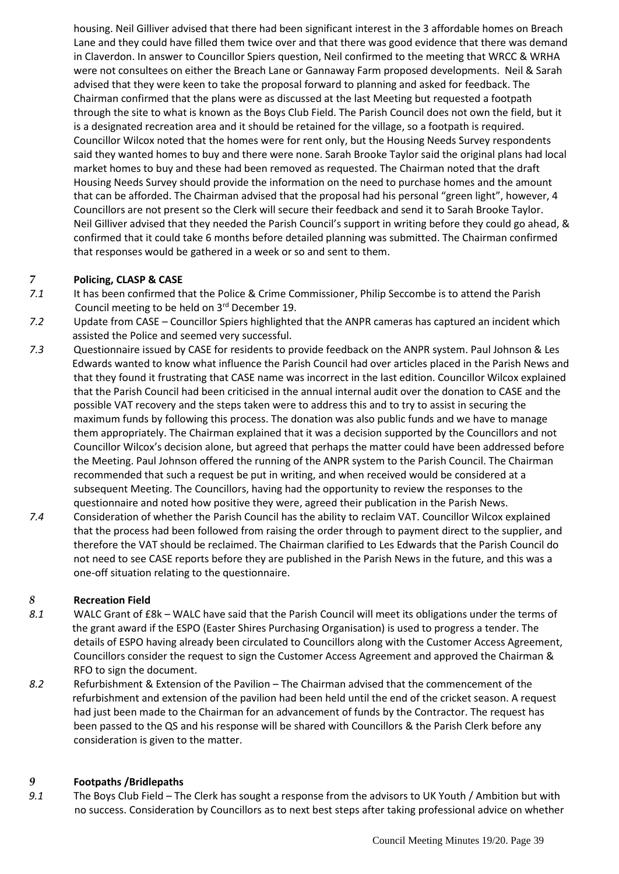housing. Neil Gilliver advised that there had been significant interest in the 3 affordable homes on Breach Lane and they could have filled them twice over and that there was good evidence that there was demand in Claverdon. In answer to Councillor Spiers question, Neil confirmed to the meeting that WRCC & WRHA were not consultees on either the Breach Lane or Gannaway Farm proposed developments. Neil & Sarah advised that they were keen to take the proposal forward to planning and asked for feedback. The Chairman confirmed that the plans were as discussed at the last Meeting but requested a footpath through the site to what is known as the Boys Club Field. The Parish Council does not own the field, but it is a designated recreation area and it should be retained for the village, so a footpath is required. Councillor Wilcox noted that the homes were for rent only, but the Housing Needs Survey respondents said they wanted homes to buy and there were none. Sarah Brooke Taylor said the original plans had local market homes to buy and these had been removed as requested. The Chairman noted that the draft Housing Needs Survey should provide the information on the need to purchase homes and the amount that can be afforded. The Chairman advised that the proposal had his personal "green light", however, 4 Councillors are not present so the Clerk will secure their feedback and send it to Sarah Brooke Taylor. Neil Gilliver advised that they needed the Parish Council's support in writing before they could go ahead, & confirmed that it could take 6 months before detailed planning was submitted. The Chairman confirmed that responses would be gathered in a week or so and sent to them.

### *7* **Policing, CLASP & CASE**

- *7.1* It has been confirmed that the Police & Crime Commissioner, Philip Seccombe is to attend the Parish Council meeting to be held on 3rd December 19.
- *7.2* Update from CASE Councillor Spiers highlighted that the ANPR cameras has captured an incident which assisted the Police and seemed very successful.
- *7.3* Questionnaire issued by CASE for residents to provide feedback on the ANPR system. Paul Johnson & Les Edwards wanted to know what influence the Parish Council had over articles placed in the Parish News and that they found it frustrating that CASE name was incorrect in the last edition. Councillor Wilcox explained that the Parish Council had been criticised in the annual internal audit over the donation to CASE and the possible VAT recovery and the steps taken were to address this and to try to assist in securing the maximum funds by following this process. The donation was also public funds and we have to manage them appropriately. The Chairman explained that it was a decision supported by the Councillors and not Councillor Wilcox's decision alone, but agreed that perhaps the matter could have been addressed before the Meeting. Paul Johnson offered the running of the ANPR system to the Parish Council. The Chairman recommended that such a request be put in writing, and when received would be considered at a subsequent Meeting. The Councillors, having had the opportunity to review the responses to the questionnaire and noted how positive they were, agreed their publication in the Parish News.
- *7.4* Consideration of whether the Parish Council has the ability to reclaim VAT. Councillor Wilcox explained that the process had been followed from raising the order through to payment direct to the supplier, and therefore the VAT should be reclaimed. The Chairman clarified to Les Edwards that the Parish Council do not need to see CASE reports before they are published in the Parish News in the future, and this was a one-off situation relating to the questionnaire.

### *8* **Recreation Field**

- *8.1* WALC Grant of £8k WALC have said that the Parish Council will meet its obligations under the terms of the grant award if the ESPO (Easter Shires Purchasing Organisation) is used to progress a tender. The details of ESPO having already been circulated to Councillors along with the Customer Access Agreement, Councillors consider the request to sign the Customer Access Agreement and approved the Chairman & RFO to sign the document.
- *8.2* Refurbishment & Extension of the Pavilion The Chairman advised that the commencement of the refurbishment and extension of the pavilion had been held until the end of the cricket season. A request had just been made to the Chairman for an advancement of funds by the Contractor. The request has been passed to the QS and his response will be shared with Councillors & the Parish Clerk before any consideration is given to the matter.

### *9* **Footpaths /Bridlepaths**

*9.1* The Boys Club Field – The Clerk has sought a response from the advisors to UK Youth / Ambition but with no success. Consideration by Councillors as to next best steps after taking professional advice on whether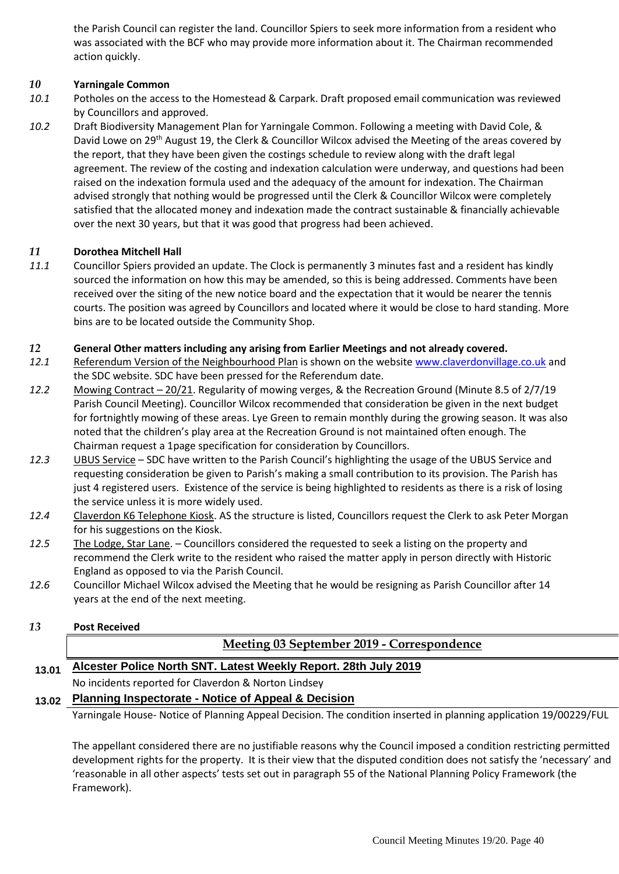the Parish Council can register the land. Councillor Spiers to seek more information from a resident who was associated with the BCF who may provide more information about it. The Chairman recommended action quickly.

### *10* **Yarningale Common**

- *10.1* Potholes on the access to the Homestead & Carpark. Draft proposed email communication was reviewed by Councillors and approved.
- *10.2* Draft Biodiversity Management Plan for Yarningale Common. Following a meeting with David Cole, & David Lowe on 29<sup>th</sup> August 19, the Clerk & Councillor Wilcox advised the Meeting of the areas covered by the report, that they have been given the costings schedule to review along with the draft legal agreement. The review of the costing and indexation calculation were underway, and questions had been raised on the indexation formula used and the adequacy of the amount for indexation. The Chairman advised strongly that nothing would be progressed until the Clerk & Councillor Wilcox were completely satisfied that the allocated money and indexation made the contract sustainable & financially achievable over the next 30 years, but that it was good that progress had been achieved.

### *11* **Dorothea Mitchell Hall**

*11.1* Councillor Spiers provided an update. The Clock is permanently 3 minutes fast and a resident has kindly sourced the information on how this may be amended, so this is being addressed. Comments have been received over the siting of the new notice board and the expectation that it would be nearer the tennis courts. The position was agreed by Councillors and located where it would be close to hard standing. More bins are to be located outside the Community Shop.

#### *12* **General Other matters including any arising from Earlier Meetings and not already covered.**

- *12.1* Referendum Version of the Neighbourhood Plan is shown on the websit[e www.claverdonvillage.co.uk](http://www.claverdonvillage.co.uk/) and the SDC website. SDC have been pressed for the Referendum date.
- *12.2* Mowing Contract 20/21. Regularity of mowing verges, & the Recreation Ground (Minute 8.5 of 2/7/19 Parish Council Meeting). Councillor Wilcox recommended that consideration be given in the next budget for fortnightly mowing of these areas. Lye Green to remain monthly during the growing season. It was also noted that the children's play area at the Recreation Ground is not maintained often enough. The Chairman request a 1page specification for consideration by Councillors.
- *12.3* UBUS Service SDC have written to the Parish Council's highlighting the usage of the UBUS Service and requesting consideration be given to Parish's making a small contribution to its provision. The Parish has just 4 registered users. Existence of the service is being highlighted to residents as there is a risk of losing the service unless it is more widely used.
- *12.4* Claverdon K6 Telephone Kiosk. AS the structure is listed, Councillors request the Clerk to ask Peter Morgan for his suggestions on the Kiosk.
- *12.5* The Lodge, Star Lane. Councillors considered the requested to seek a listing on the property and recommend the Clerk write to the resident who raised the matter apply in person directly with Historic England as opposed to via the Parish Council.
- *12.6* Councillor Michael Wilcox advised the Meeting that he would be resigning as Parish Councillor after 14 years at the end of the next meeting.
- *13* **Post Received**

### **Meeting 03 September 2019 - Correspondence**

### **13.01 Alcester Police North SNT. Latest Weekly Report. 28th July 2019**

No incidents reported for Claverdon & Norton Lindsey

### **13.02 Planning Inspectorate - Notice of Appeal & Decision**

Yarningale House- Notice of Planning Appeal Decision. The condition inserted in planning application 19/00229/FUL

The appellant considered there are no justifiable reasons why the Council imposed a condition restricting permitted development rights for the property. It is their view that the disputed condition does not satisfy the 'necessary' and 'reasonable in all other aspects' tests set out in paragraph 55 of the National Planning Policy Framework (the Framework).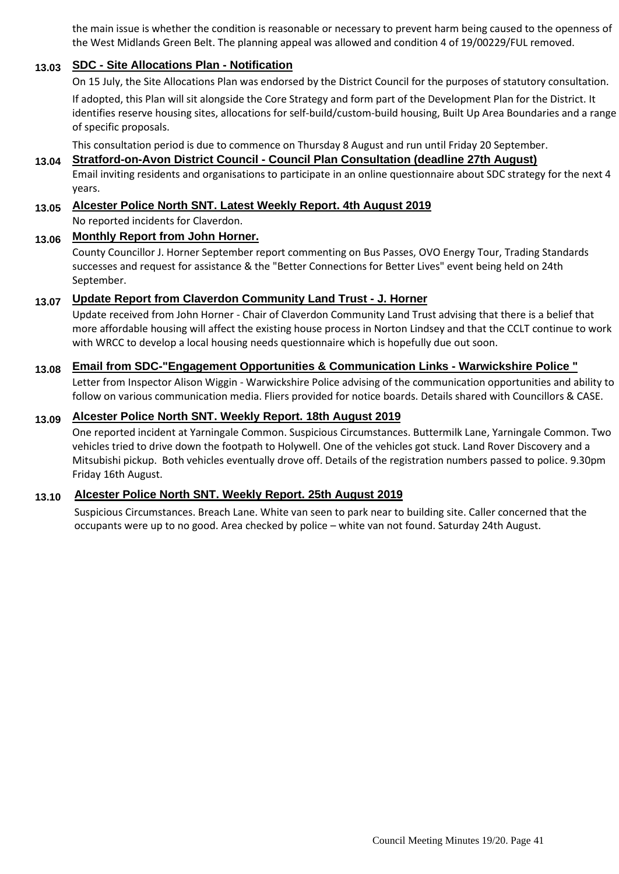the main issue is whether the condition is reasonable or necessary to prevent harm being caused to the openness of the West Midlands Green Belt. The planning appeal was allowed and condition 4 of 19/00229/FUL removed.

### **13.03 SDC - Site Allocations Plan - Notification**

On 15 July, the Site Allocations Plan was endorsed by the District Council for the purposes of statutory consultation. If adopted, this Plan will sit alongside the Core Strategy and form part of the Development Plan for the District. It identifies reserve housing sites, allocations for self-build/custom-build housing, Built Up Area Boundaries and a range of specific proposals.

### This consultation period is due to commence on Thursday 8 August and run until Friday 20 September.

### **13.04 Stratford-on-Avon District Council - Council Plan Consultation (deadline 27th August)**

Email inviting residents and organisations to participate in an online questionnaire about SDC strategy for the next 4 years.

### **13.05 Alcester Police North SNT. Latest Weekly Report. 4th August 2019**

No reported incidents for Claverdon.

### **13.06 Monthly Report from John Horner.**

County Councillor J. Horner September report commenting on Bus Passes, OVO Energy Tour, Trading Standards successes and request for assistance & the "Better Connections for Better Lives" event being held on 24th September.

### **13.07 Update Report from Claverdon Community Land Trust - J. Horner**

Update received from John Horner - Chair of Claverdon Community Land Trust advising that there is a belief that more affordable housing will affect the existing house process in Norton Lindsey and that the CCLT continue to work with WRCC to develop a local housing needs questionnaire which is hopefully due out soon.

### **13.08 Email from SDC-"Engagement Opportunities & Communication Links - Warwickshire Police "**

Letter from Inspector Alison Wiggin - Warwickshire Police advising of the communication opportunities and ability to follow on various communication media. Fliers provided for notice boards. Details shared with Councillors & CASE.

### **13.09 Alcester Police North SNT. Weekly Report. 18th August 2019**

One reported incident at Yarningale Common. Suspicious Circumstances. Buttermilk Lane, Yarningale Common. Two vehicles tried to drive down the footpath to Holywell. One of the vehicles got stuck. Land Rover Discovery and a Mitsubishi pickup. Both vehicles eventually drove off. Details of the registration numbers passed to police. 9.30pm Friday 16th August.

### **13.10 Alcester Police North SNT. Weekly Report. 25th August 2019**

Suspicious Circumstances. Breach Lane. White van seen to park near to building site. Caller concerned that the occupants were up to no good. Area checked by police – white van not found. Saturday 24th August.